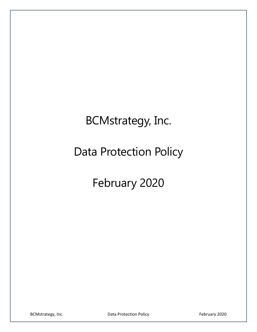# BCMstrategy, Inc.

# Data Protection Policy

# February 2020

BCMstrategy, Inc. The Contract of Data Protection Policy February 2020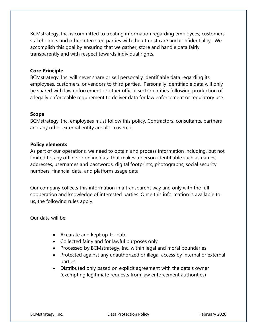BCMstrategy, Inc. is committed to treating information regarding employees, customers, stakeholders and other interested parties with the utmost care and confidentiality. We accomplish this goal by ensuring that we gather, store and handle data fairly, transparently and with respect towards individual rights.

#### Core Principle

BCMstrategy, Inc. will never share or sell personally identifiable data regarding its employees, customers, or vendors to third parties. Personally identifiable data will only be shared with law enforcement or other official sector entities following production of a legally enforceable requirement to deliver data for law enforcement or regulatory use.

#### Scope

BCMstrategy, Inc. employees must follow this policy. Contractors, consultants, partners and any other external entity are also covered.

#### Policy elements

As part of our operations, we need to obtain and process information including, but not limited to, any offline or online data that makes a person identifiable such as names, addresses, usernames and passwords, digital footprints, photographs, social security numbers, financial data, and platform usage data.

Our company collects this information in a transparent way and only with the full cooperation and knowledge of interested parties. Once this information is available to us, the following rules apply.

Our data will be:

- Accurate and kept up-to-date
- Collected fairly and for lawful purposes only
- Processed by BCMstrategy, Inc. within legal and moral boundaries
- Protected against any unauthorized or illegal access by internal or external parties
- Distributed only based on explicit agreement with the data's owner (exempting legitimate requests from law enforcement authorities)